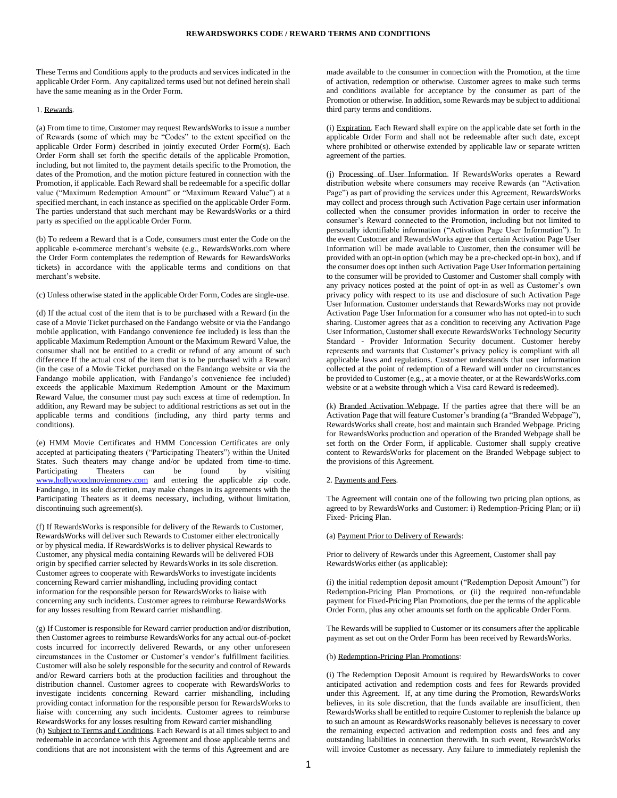These Terms and Conditions apply to the products and services indicated in the applicable Order Form. Any capitalized terms used but not defined herein shall have the same meaning as in the Order Form.

(a) From time to time, Customer may request RewardsWorks to issue a number of Rewards (some of which may be "Codes" to the extent specified on the applicable Order Form) described in jointly executed Order Form(s). Each Order Form shall set forth the specific details of the applicable Promotion, including, but not limited to, the payment details specific to the Promotion, the dates of the Promotion, and the motion picture featured in connection with the Promotion, if applicable. Each Reward shall be redeemable for a specific dollar value ("Maximum Redemption Amount" or "Maximum Reward Value") at a specified merchant, in each instance as specified on the applicable Order Form. The parties understand that such merchant may be RewardsWorks or a third party as specified on the applicable Order Form.

(b) To redeem a Reward that is a Code, consumers must enter the Code on the applicable e-commerce merchant's website (e.g., RewardsWorks.com where the Order Form contemplates the redemption of Rewards for RewardsWorks tickets) in accordance with the applicable terms and conditions on that merchant's website.

(c) Unless otherwise stated in the applicable Order Form, Codes are single-use.

(d) If the actual cost of the item that is to be purchased with a Reward (in the case of a Movie Ticket purchased on the Fandango website or via the Fandango mobile application, with Fandango convenience fee included) is less than the applicable Maximum Redemption Amount or the Maximum Reward Value, the consumer shall not be entitled to a credit or refund of any amount of such difference If the actual cost of the item that is to be purchased with a Reward (in the case of a Movie Ticket purchased on the Fandango website or via the Fandango mobile application, with Fandango's convenience fee included) exceeds the applicable Maximum Redemption Amount or the Maximum Reward Value, the consumer must pay such excess at time of redemption. In addition, any Reward may be subject to additional restrictions as set out in the applicable terms and conditions (including, any third party terms and conditions).

(e) HMM Movie Certificates and HMM Concession Certificates are only accepted at participating theaters ("Participating Theaters") within the United States. Such theaters may change and/or be updated from time-to-time. Participating Theaters can be found by visiting [www.hollywoodmoviemoney.com](http://www.hollywoodmoviemoney.com/) and entering the applicable zip code. Fandango, in its sole discretion, may make changes in its agreements with the Participating Theaters as it deems necessary, including, without limitation, discontinuing such agreement(s).

(f) If RewardsWorks is responsible for delivery of the Rewards to Customer, RewardsWorks will deliver such Rewards to Customer either electronically or by physical media. If RewardsWorks is to deliver physical Rewards to Customer, any physical media containing Rewards will be delivered FOB origin by specified carrier selected by RewardsWorks in its sole discretion. Customer agrees to cooperate with RewardsWorks to investigate incidents concerning Reward carrier mishandling, including providing contact information for the responsible person for RewardsWorks to liaise with concerning any such incidents. Customer agrees to reimburse RewardsWorks for any losses resulting from Reward carrier mishandling.

(g) If Customer is responsible for Reward carrier production and/or distribution, then Customer agrees to reimburse RewardsWorks for any actual out-of-pocket costs incurred for incorrectly delivered Rewards, or any other unforeseen circumstances in the Customer or Customer's vendor's fulfillment facilities. Customer will also be solely responsible for the security and control of Rewards and/or Reward carriers both at the production facilities and throughout the distribution channel. Customer agrees to cooperate with RewardsWorks to investigate incidents concerning Reward carrier mishandling, including providing contact information for the responsible person for RewardsWorks to liaise with concerning any such incidents. Customer agrees to reimburse RewardsWorks for any losses resulting from Reward carrier mishandling (h) Subject to Terms and Conditions. Each Reward is at all times subject to and

redeemable in accordance with this Agreement and those applicable terms and conditions that are not inconsistent with the terms of this Agreement and are

made available to the consumer in connection with the Promotion, at the time of activation, redemption or otherwise. Customer agrees to make such terms and conditions available for acceptance by the consumer as part of the Promotion or otherwise. In addition, some Rewards may be subject to additional 1. Rewards. third party terms and conditions.

> (i) Expiration. Each Reward shall expire on the applicable date set forth in the applicable Order Form and shall not be redeemable after such date, except where prohibited or otherwise extended by applicable law or separate written agreement of the parties.

> (j) Processing of User Information. If RewardsWorks operates a Reward distribution website where consumers may receive Rewards (an "Activation Page") as part of providing the services under this Agreement, RewardsWorks may collect and process through such Activation Page certain user information collected when the consumer provides information in order to receive the consumer's Reward connected to the Promotion, including but not limited to personally identifiable information ("Activation Page User Information"). In the event Customer and RewardsWorks agree that certain Activation Page User Information will be made available to Customer, then the consumer will be provided with an opt-in option (which may be a pre-checked opt-in box), and if the consumer does opt inthen such Activation Page User Information pertaining to the consumer will be provided to Customer and Customer shall comply with any privacy notices posted at the point of opt-in as well as Customer's own privacy policy with respect to its use and disclosure of such Activation Page User Information. Customer understands that RewardsWorks may not provide Activation Page User Information for a consumer who has not opted-in to such sharing. Customer agrees that as a condition to receiving any Activation Page User Information, Customer shall execute RewardsWorks Technology Security Standard - Provider Information Security document. Customer hereby represents and warrants that Customer's privacy policy is compliant with all applicable laws and regulations. Customer understands that user information collected at the point of redemption of a Reward will under no circumstances be provided to Customer (e.g., at a movie theater, or at the RewardsWorks.com website or at a website through which a Visa card Reward is redeemed).

> (k) Branded Activation Webpage. If the parties agree that there will be an Activation Page that will feature Customer's branding (a "Branded Webpage"), RewardsWorks shall create, host and maintain such Branded Webpage. Pricing for RewardsWorks production and operation of the Branded Webpage shall be set forth on the Order Form, if applicable. Customer shall supply creative content to RewardsWorks for placement on the Branded Webpage subject to the provisions of this Agreement.

# 2. Payments and Fees.

The Agreement will contain one of the following two pricing plan options, as agreed to by RewardsWorks and Customer: i) Redemption-Pricing Plan; or ii) Fixed- Pricing Plan.

#### (a) Payment Prior to Delivery of Rewards:

Prior to delivery of Rewards under this Agreement, Customer shall pay RewardsWorks either (as applicable):

(i) the initial redemption deposit amount ("Redemption Deposit Amount") for Redemption-Pricing Plan Promotions, or (ii) the required non-refundable payment for Fixed-Pricing Plan Promotions, due per the terms of the applicable Order Form, plus any other amounts set forth on the applicable Order Form.

The Rewards will be supplied to Customer or its consumers after the applicable payment as set out on the Order Form has been received by RewardsWorks.

### (b) Redemption-Pricing Plan Promotions:

(i) The Redemption Deposit Amount is required by RewardsWorks to cover anticipated activation and redemption costs and fees for Rewards provided under this Agreement. If, at any time during the Promotion, RewardsWorks believes, in its sole discretion, that the funds available are insufficient, then RewardsWorks shall be entitled to require Customer to replenish the balance up to such an amount as RewardsWorks reasonably believes is necessary to cover the remaining expected activation and redemption costs and fees and any outstanding liabilities in connection therewith. In such event, RewardsWorks will invoice Customer as necessary. Any failure to immediately replenish the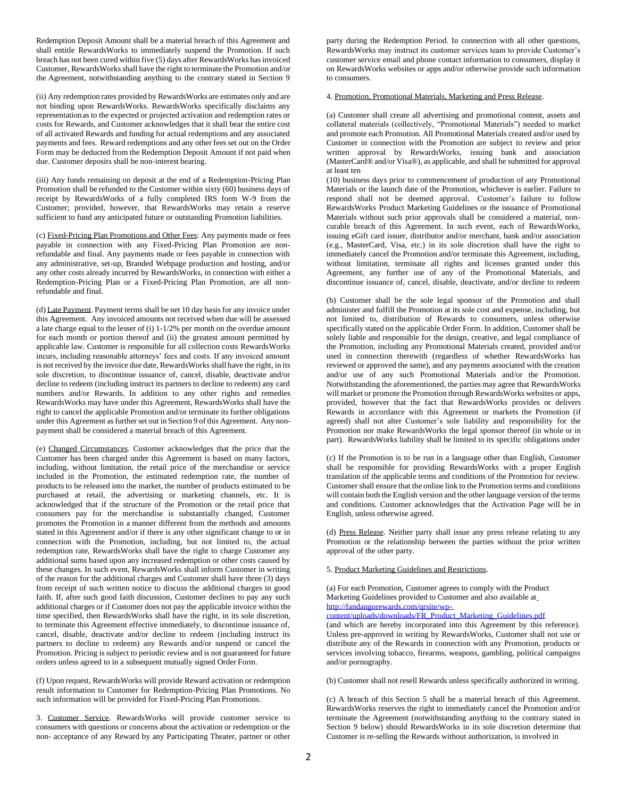Redemption Deposit Amount shall be a material breach of this Agreement and shall entitle RewardsWorks to immediately suspend the Promotion. If such breach has not been cured within five (5) days after RewardsWorks has invoiced Customer, RewardsWorks shall have the right to terminate the Promotion and/or the Agreement, notwithstanding anything to the contrary stated in Section 9

(ii) Any redemption rates provided by RewardsWorks are estimates only and are not binding upon RewardsWorks. RewardsWorks specifically disclaims any representationas to the expected or projected activation and redemption rates or costs for Rewards, and Customer acknowledges that it shall bear the entire cost of all activated Rewards and funding for actual redemptions and any associated payments and fees. Reward redemptions and any other fees set out on the Order Form may be deducted from the Redemption Deposit Amount if not paid when due. Customer deposits shall be non-interest bearing.

(iii) Any funds remaining on deposit at the end of a Redemption-Pricing Plan Promotion shall be refunded to the Customer within sixty (60) business days of receipt by RewardsWorks of a fully completed IRS form W-9 from the Customer; provided, however, that RewardsWorks may retain a reserve sufficient to fund any anticipated future or outstanding Promotion liabilities.

(c) Fixed-Pricing Plan Promotions and Other Fees: Any payments made or fees payable in connection with any Fixed-Pricing Plan Promotion are nonrefundable and final. Any payments made or fees payable in connection with any administrative, set-up, Branded Webpage production and hosting, and/or any other costs already incurred by RewardsWorks, in connection with either a Redemption-Pricing Plan or a Fixed-Pricing Plan Promotion, are all nonrefundable and final.

(d) Late Payment. Payment terms shall be net 10 day basisfor any invoice under this Agreement. Any invoiced amounts not received when due will be assessed a late charge equal to the lesser of (i) 1-1/2% per month on the overdue amount for each month or portion thereof and (ii) the greatest amount permitted by applicable law. Customer is responsible for all collection costs RewardsWorks incurs, including reasonable attorneys' fees and costs. If any invoiced amount is not received by the invoice due date, RewardsWorks shall have the right, in its sole discretion, to discontinue issuance of, cancel, disable, deactivate and/or decline to redeem (including instruct its partners to decline to redeem) any card numbers and/or Rewards. In addition to any other rights and remedies RewardsWorks may have under this Agreement, RewardsWorks shall have the right to cancel the applicable Promotion and/or terminate its further obligations under this Agreement as further set out in Section 9 of this Agreement. Any nonpayment shall be considered a material breach of this Agreement.

(e) Changed Circumstances. Customer acknowledges that the price that the Customer has been charged under this Agreement is based on many factors, including, without limitation, the retail price of the merchandise or service included in the Promotion, the estimated redemption rate, the number of products to be released into the market, the number of products estimated to be purchased at retail, the advertising or marketing channels, etc. It is acknowledged that if the structure of the Promotion or the retail price that consumers pay for the merchandise is substantially changed, Customer promotes the Promotion in a manner different from the methods and amounts stated in this Agreement and/or if there is any other significant change to or in connection with the Promotion, including, but not limited to, the actual redemption rate, RewardsWorks shall have the right to charge Customer any additional sums based upon any increased redemption or other costs caused by these changes. In such event, RewardsWorks shall inform Customer in writing of the reason for the additional charges and Customer shall have three (3) days from receipt of such written notice to discuss the additional charges in good faith. If, after such good faith discussion, Customer declines to pay any such additional charges or if Customer does not pay the applicable invoice within the time specified, then RewardsWorks shall have the right, in its sole discretion, to terminate this Agreement effective immediately, to discontinue issuance of, cancel, disable, deactivate and/or decline to redeem (including instruct its partners to decline to redeem) any Rewards and/or suspend or cancel the Promotion. Pricing is subject to periodic review and is not guaranteed for future orders unless agreed to in a subsequent mutually signed Order Form.

(f) Upon request, RewardsWorks will provide Reward activation or redemption result information to Customer for Redemption-Pricing Plan Promotions. No such information will be provided for Fixed-Pricing Plan Promotions.

3. Customer Service. RewardsWorks will provide customer service to consumers with questions or concerns about the activation or redemption or the non- acceptance of any Reward by any Participating Theater, partner or other party during the Redemption Period. In connection with all other questions, RewardsWorks may instruct its customer services team to provide Customer's customer service email and phone contact information to consumers, display it on RewardsWorks websites or apps and/or otherwise provide such information to consumers.

# 4. Promotion, Promotional Materials, Marketing and Press Release.

(a) Customer shall create all advertising and promotional content, assets and collateral materials (collectively, "Promotional Materials") needed to market and promote each Promotion. All Promotional Materials created and/or used by Customer in connection with the Promotion are subject to review and prior written approval by RewardsWorks, issuing bank and association (MasterCard® and/or Visa®), as applicable, and shall be submitted for approval at least ten

(10) business days prior to commencement of production of any Promotional Materials or the launch date of the Promotion, whichever is earlier. Failure to respond shall not be deemed approval. Customer's failure to follow RewardsWorks Product Marketing Guidelines or the issuance of Promotional Materials without such prior approvals shall be considered a material, noncurable breach of this Agreement. In such event, each of RewardsWorks, issuing eGift card issuer, distributor and/or merchant, bank and/or association (e.g., MasterCard, Visa, etc.) in its sole discretion shall have the right to immediately cancel the Promotion and/or terminate this Agreement, including, without limitation, terminate all rights and licenses granted under this Agreement, any further use of any of the Promotional Materials, and discontinue issuance of, cancel, disable, deactivate, and/or decline to redeem

(b) Customer shall be the sole legal sponsor of the Promotion and shall administer and fulfill the Promotion at its sole cost and expense, including, but not limited to, distribution of Rewards to consumers, unless otherwise specifically stated on the applicable Order Form. In addition, Customer shall be solely liable and responsible for the design, creative, and legal compliance of the Promotion, including any Promotional Materials created, provided and/or used in connection therewith (regardless of whether RewardsWorks has reviewed or approved the same), and any payments associated with the creation and/or use of any such Promotional Materials and/or the Promotion. Notwithstanding the aforementioned, the parties may agree that RewardsWorks will market or promote the Promotion through RewardsWorks websites or apps, provided, however that the fact that RewardsWorks provides or delivers Rewards in accordance with this Agreement or markets the Promotion (if agreed) shall not alter Customer's sole liability and responsibility for the Promotion nor make RewardsWorks the legal sponsor thereof (in whole or in part). RewardsWorks liability shall be limited to its specific obligations under

(c) If the Promotion is to be run in a language other than English, Customer shall be responsible for providing RewardsWorks with a proper English translation of the applicable terms and conditions of the Promotion for review. Customer shall ensure that the online link to the Promotion terms and conditions will contain both the English version and the other language version of the terms and conditions. Customer acknowledges that the Activation Page will be in English, unless otherwise agreed.

(d) Press Release. Neither party shall issue any press release relating to any Promotion or the relationship between the parties without the prior written approval of the other party.

## 5. Product Marketing Guidelines and Restrictions.

(a) For each Promotion, Customer agrees to comply with the Product Marketing Guidelines provided to Customer and also available at <http://fandangorewards.com/qrsite/wp->

content/uploads/downloads/FR\_Product\_Marketing\_Guidelines.pdf

(and which are hereby incorporated into this Agreement by this reference). Unless pre-approved in writing by RewardsWorks, Customer shall not use or distribute any of the Rewards in connection with any Promotion, products or services involving tobacco, firearms, weapons, gambling, political campaigns and/or pornography.

(b) Customer shall not resell Rewards unless specifically authorized in writing.

(c) A breach of this Section 5 shall be a material breach of this Agreement. RewardsWorks reserves the right to immediately cancel the Promotion and/or terminate the Agreement (notwithstanding anything to the contrary stated in Section 9 below) should RewardsWorks in its sole discretion determine that Customer is re-selling the Rewards without authorization, is involved in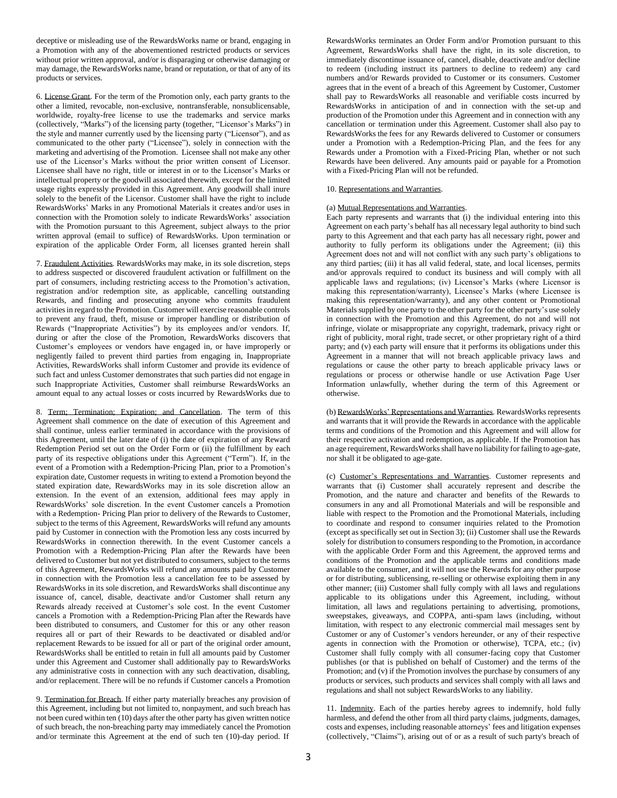deceptive or misleading use of the RewardsWorks name or brand, engaging in a Promotion with any of the abovementioned restricted products or services without prior written approval, and/or is disparaging or otherwise damaging or may damage, the RewardsWorks name, brand or reputation, or that of any of its products or services.

6. License Grant. For the term of the Promotion only, each party grants to the other a limited, revocable, non-exclusive, nontransferable, nonsublicensable, worldwide, royalty-free license to use the trademarks and service marks (collectively, "Marks") of the licensing party (together, "Licensor's Marks") in the style and manner currently used by the licensing party ("Licensor"), and as communicated to the other party ("Licensee"), solely in connection with the marketing and advertising of the Promotion. Licensee shall not make any other use of the Licensor's Marks without the prior written consent of Licensor. Licensee shall have no right, title or interest in or to the Licensor's Marks or intellectual property or the goodwill associated therewith, except for the limited usage rights expressly provided in this Agreement. Any goodwill shall inure solely to the benefit of the Licensor. Customer shall have the right to include RewardsWorks' Marks in any Promotional Materials it creates and/or uses in connection with the Promotion solely to indicate RewardsWorks' association with the Promotion pursuant to this Agreement, subject always to the prior written approval (email to suffice) of RewardsWorks. Upon termination or expiration of the applicable Order Form, all licenses granted herein shall

7. Fraudulent Activities. RewardsWorks may make, in its sole discretion, steps to address suspected or discovered fraudulent activation or fulfillment on the part of consumers, including restricting access to the Promotion's activation, registration and/or redemption site, as applicable, cancelling outstanding Rewards, and finding and prosecuting anyone who commits fraudulent activities in regard to the Promotion. Customer will exercise reasonable controls to prevent any fraud, theft, misuse or improper handling or distribution of Rewards ("Inappropriate Activities") by its employees and/or vendors. If, during or after the close of the Promotion, RewardsWorks discovers that Customer's employees or vendors have engaged in, or have improperly or negligently failed to prevent third parties from engaging in, Inappropriate Activities, RewardsWorks shall inform Customer and provide its evidence of such fact and unless Customer demonstrates that such parties did not engage in such Inappropriate Activities, Customer shall reimburse RewardsWorks an amount equal to any actual losses or costs incurred by RewardsWorks due to

8. Term; Termination; Expiration; and Cancellation. The term of this Agreement shall commence on the date of execution of this Agreement and shall continue, unless earlier terminated in accordance with the provisions of this Agreement, until the later date of (i) the date of expiration of any Reward Redemption Period set out on the Order Form or (ii) the fulfillment by each party of its respective obligations under this Agreement ("Term"). If, in the event of a Promotion with a Redemption-Pricing Plan, prior to a Promotion's expiration date, Customer requests in writing to extend a Promotion beyond the stated expiration date, RewardsWorks may in its sole discretion allow an extension. In the event of an extension, additional fees may apply in RewardsWorks' sole discretion. In the event Customer cancels a Promotion with a Redemption- Pricing Plan prior to delivery of the Rewards to Customer, subject to the terms of this Agreement, RewardsWorks will refund any amounts paid by Customer in connection with the Promotion less any costs incurred by RewardsWorks in connection therewith. In the event Customer cancels a Promotion with a Redemption-Pricing Plan after the Rewards have been delivered to Customer but not yet distributed to consumers, subject to the terms of this Agreement, RewardsWorks will refund any amounts paid by Customer in connection with the Promotion less a cancellation fee to be assessed by RewardsWorks in its sole discretion, and RewardsWorks shall discontinue any issuance of, cancel, disable, deactivate and/or Customer shall return any Rewards already received at Customer's sole cost. In the event Customer cancels a Promotion with a Redemption-Pricing Plan after the Rewards have been distributed to consumers, and Customer for this or any other reason requires all or part of their Rewards to be deactivated or disabled and/or replacement Rewards to be issued for all or part of the original order amount, RewardsWorks shall be entitled to retain in full all amounts paid by Customer under this Agreement and Customer shall additionally pay to RewardsWorks any administrative costs in connection with any such deactivation, disabling, and/or replacement. There will be no refunds if Customer cancels a Promotion

9. Termination for Breach. If either party materially breaches any provision of this Agreement, including but not limited to, nonpayment, and such breach has not been cured within ten (10) days after the other party has given written notice of such breach, the non-breaching party may immediately cancel the Promotion and/or terminate this Agreement at the end of such ten (10)-day period. If

RewardsWorks terminates an Order Form and/or Promotion pursuant to this Agreement, RewardsWorks shall have the right, in its sole discretion, to immediately discontinue issuance of, cancel, disable, deactivate and/or decline to redeem (including instruct its partners to decline to redeem) any card numbers and/or Rewards provided to Customer or its consumers. Customer agrees that in the event of a breach of this Agreement by Customer, Customer shall pay to RewardsWorks all reasonable and verifiable costs incurred by RewardsWorks in anticipation of and in connection with the set-up and production of the Promotion under this Agreement and in connection with any cancellation or termination under this Agreement. Customer shall also pay to RewardsWorks the fees for any Rewards delivered to Customer or consumers under a Promotion with a Redemption-Pricing Plan, and the fees for any Rewards under a Promotion with a Fixed-Pricing Plan, whether or not such Rewards have been delivered. Any amounts paid or payable for a Promotion with a Fixed-Pricing Plan will not be refunded.

## 10. Representations and Warranties.

#### (a) Mutual Representations and Warranties.

Each party represents and warrants that (i) the individual entering into this Agreement on each party's behalf has all necessary legal authority to bind such party to this Agreement and that each party has all necessary right, power and authority to fully perform its obligations under the Agreement; (ii) this Agreement does not and will not conflict with any such party's obligations to any third parties; (iii) it has all valid federal, state, and local licenses, permits and/or approvals required to conduct its business and will comply with all applicable laws and regulations; (iv) Licensor's Marks (where Licensor is making this representation/warranty), Licensee's Marks (where Licensee is making this representation/warranty), and any other content or Promotional Materials supplied by one party to the other party for the other party's use solely in connection with the Promotion and this Agreement, do not and will not infringe, violate or misappropriate any copyright, trademark, privacy right or right of publicity, moral right, trade secret, or other proprietary right of a third party; and (v) each party will ensure that it performs its obligations under this Agreement in a manner that will not breach applicable privacy laws and regulations or cause the other party to breach applicable privacy laws or regulations or process or otherwise handle or use Activation Page User Information unlawfully, whether during the term of this Agreement or otherwise.

(b) RewardsWorks' Representations and Warranties. RewardsWorks represents and warrants that it will provide the Rewards in accordance with the applicable terms and conditions of the Promotion and this Agreement and will allow for their respective activation and redemption, as applicable. If the Promotion has an age requirement, RewardsWorks shall have no liability for failing to age-gate, nor shall it be obligated to age-gate.

(c) Customer's Representations and Warranties. Customer represents and warrants that (i) Customer shall accurately represent and describe the Promotion, and the nature and character and benefits of the Rewards to consumers in any and all Promotional Materials and will be responsible and liable with respect to the Promotion and the Promotional Materials, including to coordinate and respond to consumer inquiries related to the Promotion (except as specifically set out in Section 3); (ii) Customer shall use the Rewards solely for distribution to consumers responding to the Promotion, in accordance with the applicable Order Form and this Agreement, the approved terms and conditions of the Promotion and the applicable terms and conditions made available to the consumer, and it will not use the Rewards for any other purpose or for distributing, sublicensing, re-selling or otherwise exploiting them in any other manner; (iii) Customer shall fully comply with all laws and regulations applicable to its obligations under this Agreement, including, without limitation, all laws and regulations pertaining to advertising, promotions, sweepstakes, giveaways, and COPPA, anti-spam laws (including, without limitation, with respect to any electronic commercial mail messages sent by Customer or any of Customer's vendors hereunder, or any of their respective agents in connection with the Promotion or otherwise), TCPA, etc.; (iv) Customer shall fully comply with all consumer-facing copy that Customer publishes (or that is published on behalf of Customer) and the terms of the Promotion; and (v) if the Promotion involves the purchase by consumers of any products or services, such products and services shall comply with all laws and regulations and shall not subject RewardsWorks to any liability.

11. Indemnity. Each of the parties hereby agrees to indemnify, hold fully harmless, and defend the other from all third party claims, judgments, damages, costs and expenses, including reasonable attorneys' fees and litigation expenses (collectively, "Claims"), arising out of or as a result of such party's breach of